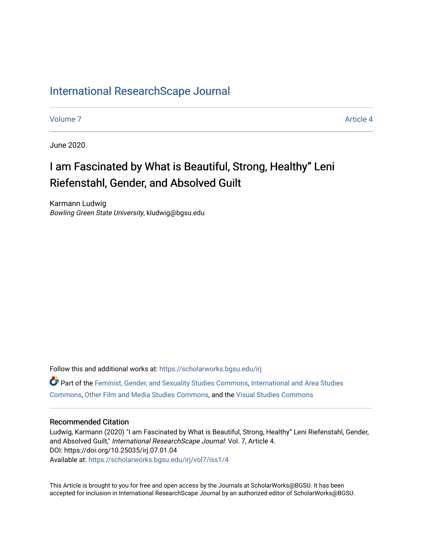# [International ResearchScape Journal](https://scholarworks.bgsu.edu/irj)

[Volume 7](https://scholarworks.bgsu.edu/irj/vol7) Article 4

June 2020

# I am Fascinated by What is Beautiful, Strong, Healthy" Leni Riefenstahl, Gender, and Absolved Guilt

Karmann Ludwig Bowling Green State University, kludwig@bgsu.edu

Follow this and additional works at: [https://scholarworks.bgsu.edu/irj](https://scholarworks.bgsu.edu/irj?utm_source=scholarworks.bgsu.edu%2Firj%2Fvol7%2Fiss1%2F4&utm_medium=PDF&utm_campaign=PDFCoverPages) 

Part of the [Feminist, Gender, and Sexuality Studies Commons](http://network.bepress.com/hgg/discipline/559?utm_source=scholarworks.bgsu.edu%2Firj%2Fvol7%2Fiss1%2F4&utm_medium=PDF&utm_campaign=PDFCoverPages), [International and Area Studies](http://network.bepress.com/hgg/discipline/360?utm_source=scholarworks.bgsu.edu%2Firj%2Fvol7%2Fiss1%2F4&utm_medium=PDF&utm_campaign=PDFCoverPages) [Commons](http://network.bepress.com/hgg/discipline/360?utm_source=scholarworks.bgsu.edu%2Firj%2Fvol7%2Fiss1%2F4&utm_medium=PDF&utm_campaign=PDFCoverPages), [Other Film and Media Studies Commons,](http://network.bepress.com/hgg/discipline/565?utm_source=scholarworks.bgsu.edu%2Firj%2Fvol7%2Fiss1%2F4&utm_medium=PDF&utm_campaign=PDFCoverPages) and the [Visual Studies Commons](http://network.bepress.com/hgg/discipline/564?utm_source=scholarworks.bgsu.edu%2Firj%2Fvol7%2Fiss1%2F4&utm_medium=PDF&utm_campaign=PDFCoverPages) 

# Recommended Citation

Ludwig, Karmann (2020) "I am Fascinated by What is Beautiful, Strong, Healthy" Leni Riefenstahl, Gender, and Absolved Guilt," International ResearchScape Journal: Vol. 7, Article 4. DOI: https://doi.org/10.25035/irj.07.01.04 Available at: [https://scholarworks.bgsu.edu/irj/vol7/iss1/4](https://scholarworks.bgsu.edu/irj/vol7/iss1/4?utm_source=scholarworks.bgsu.edu%2Firj%2Fvol7%2Fiss1%2F4&utm_medium=PDF&utm_campaign=PDFCoverPages)

This Article is brought to you for free and open access by the Journals at ScholarWorks@BGSU. It has been accepted for inclusion in International ResearchScape Journal by an authorized editor of ScholarWorks@BGSU.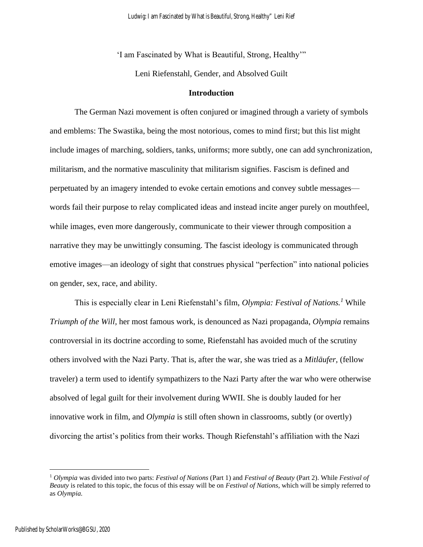'I am Fascinated by What is Beautiful, Strong, Healthy'"

Leni Riefenstahl, Gender, and Absolved Guilt

# **Introduction**

The German Nazi movement is often conjured or imagined through a variety of symbols and emblems: The Swastika, being the most notorious, comes to mind first; but this list might include images of marching, soldiers, tanks, uniforms; more subtly, one can add synchronization, militarism, and the normative masculinity that militarism signifies. Fascism is defined and perpetuated by an imagery intended to evoke certain emotions and convey subtle messages words fail their purpose to relay complicated ideas and instead incite anger purely on mouthfeel, while images, even more dangerously, communicate to their viewer through composition a narrative they may be unwittingly consuming. The fascist ideology is communicated through emotive images—an ideology of sight that construes physical "perfection" into national policies on gender, sex, race, and ability.

This is especially clear in Leni Riefenstahl's film, *Olympia: Festival of Nations.<sup>1</sup>* While *Triumph of the Will,* her most famous work, is denounced as Nazi propaganda, *Olympia* remains controversial in its doctrine according to some, Riefenstahl has avoided much of the scrutiny others involved with the Nazi Party. That is, after the war, she was tried as a *Mitläufer,* (fellow traveler) a term used to identify sympathizers to the Nazi Party after the war who were otherwise absolved of legal guilt for their involvement during WWII. She is doubly lauded for her innovative work in film, and *Olympia* is still often shown in classrooms, subtly (or overtly) divorcing the artist's politics from their works. Though Riefenstahl's affiliation with the Nazi

<sup>1</sup> *Olympia* was divided into two parts: *Festival of Nations* (Part 1) and *Festival of Beauty* (Part 2). While *Festival of Beauty* is related to this topic, the focus of this essay will be on *Festival of Nations*, which will be simply referred to as *Olympia.*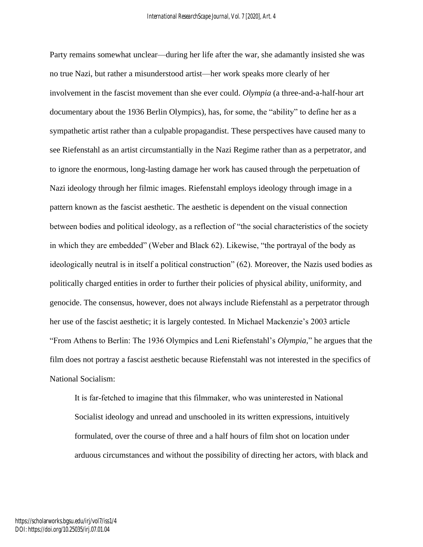Party remains somewhat unclear—during her life after the war, she adamantly insisted she was no true Nazi, but rather a misunderstood artist—her work speaks more clearly of her involvement in the fascist movement than she ever could. *Olympia* (a three-and-a-half-hour art documentary about the 1936 Berlin Olympics)*,* has, for some, the "ability" to define her as a sympathetic artist rather than a culpable propagandist. These perspectives have caused many to see Riefenstahl as an artist circumstantially in the Nazi Regime rather than as a perpetrator, and to ignore the enormous, long-lasting damage her work has caused through the perpetuation of Nazi ideology through her filmic images. Riefenstahl employs ideology through image in a pattern known as the fascist aesthetic. The aesthetic is dependent on the visual connection between bodies and political ideology, as a reflection of "the social characteristics of the society in which they are embedded" (Weber and Black 62). Likewise, "the portrayal of the body as ideologically neutral is in itself a political construction" (62). Moreover, the Nazis used bodies as politically charged entities in order to further their policies of physical ability, uniformity, and genocide. The consensus, however, does not always include Riefenstahl as a perpetrator through her use of the fascist aesthetic; it is largely contested. In Michael Mackenzie's 2003 article "From Athens to Berlin: The 1936 Olympics and Leni Riefenstahl's *Olympia,*" he argues that the film does not portray a fascist aesthetic because Riefenstahl was not interested in the specifics of National Socialism:

It is far‐fetched to imagine that this filmmaker, who was uninterested in National Socialist ideology and unread and unschooled in its written expressions, intuitively formulated, over the course of three and a half hours of film shot on location under arduous circumstances and without the possibility of directing her actors, with black and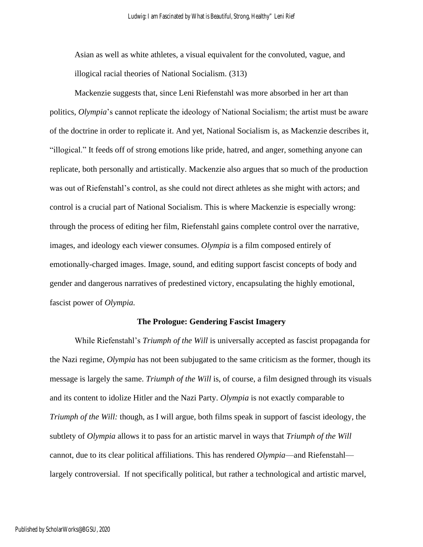Asian as well as white athletes, a visual equivalent for the convoluted, vague, and illogical racial theories of National Socialism. (313)

Mackenzie suggests that, since Leni Riefenstahl was more absorbed in her art than politics, *Olympia*'s cannot replicate the ideology of National Socialism; the artist must be aware of the doctrine in order to replicate it. And yet, National Socialism is, as Mackenzie describes it, "illogical." It feeds off of strong emotions like pride, hatred, and anger, something anyone can replicate, both personally and artistically. Mackenzie also argues that so much of the production was out of Riefenstahl's control, as she could not direct athletes as she might with actors; and control is a crucial part of National Socialism. This is where Mackenzie is especially wrong: through the process of editing her film, Riefenstahl gains complete control over the narrative, images, and ideology each viewer consumes. *Olympia* is a film composed entirely of emotionally-charged images. Image, sound, and editing support fascist concepts of body and gender and dangerous narratives of predestined victory, encapsulating the highly emotional, fascist power of *Olympia.* 

#### **The Prologue: Gendering Fascist Imagery**

While Riefenstahl's *Triumph of the Will* is universally accepted as fascist propaganda for the Nazi regime, *Olympia* has not been subjugated to the same criticism as the former, though its message is largely the same. *Triumph of the Will* is, of course, a film designed through its visuals and its content to idolize Hitler and the Nazi Party. *Olympia* is not exactly comparable to *Triumph of the Will:* though, as I will argue, both films speak in support of fascist ideology, the subtlety of *Olympia* allows it to pass for an artistic marvel in ways that *Triumph of the Will*  cannot, due to its clear political affiliations. This has rendered *Olympia*—and Riefenstahl largely controversial. If not specifically political, but rather a technological and artistic marvel,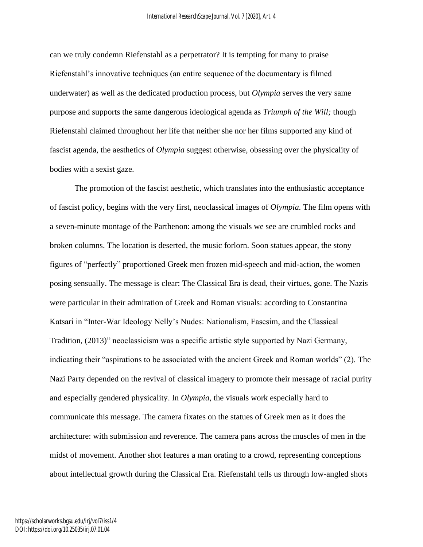can we truly condemn Riefenstahl as a perpetrator? It is tempting for many to praise Riefenstahl's innovative techniques (an entire sequence of the documentary is filmed underwater) as well as the dedicated production process, but *Olympia* serves the very same purpose and supports the same dangerous ideological agenda as *Triumph of the Will;* though Riefenstahl claimed throughout her life that neither she nor her films supported any kind of fascist agenda, the aesthetics of *Olympia* suggest otherwise, obsessing over the physicality of bodies with a sexist gaze.

The promotion of the fascist aesthetic, which translates into the enthusiastic acceptance of fascist policy, begins with the very first, neoclassical images of *Olympia.* The film opens with a seven-minute montage of the Parthenon: among the visuals we see are crumbled rocks and broken columns. The location is deserted, the music forlorn. Soon statues appear, the stony figures of "perfectly" proportioned Greek men frozen mid-speech and mid-action, the women posing sensually. The message is clear: The Classical Era is dead, their virtues, gone. The Nazis were particular in their admiration of Greek and Roman visuals: according to Constantina Katsari in "Inter-War Ideology Nelly's Nudes: Nationalism, Fascsim, and the Classical Tradition, (2013)" neoclassicism was a specific artistic style supported by Nazi Germany, indicating their "aspirations to be associated with the ancient Greek and Roman worlds" (2). The Nazi Party depended on the revival of classical imagery to promote their message of racial purity and especially gendered physicality. In *Olympia,* the visuals work especially hard to communicate this message. The camera fixates on the statues of Greek men as it does the architecture: with submission and reverence. The camera pans across the muscles of men in the midst of movement. Another shot features a man orating to a crowd, representing conceptions about intellectual growth during the Classical Era. Riefenstahl tells us through low-angled shots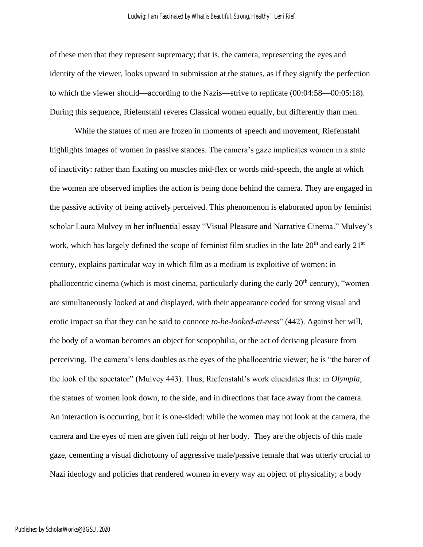of these men that they represent supremacy; that is, the camera, representing the eyes and identity of the viewer, looks upward in submission at the statues, as if they signify the perfection to which the viewer should—according to the Nazis—strive to replicate (00:04:58—00:05:18). During this sequence, Riefenstahl reveres Classical women equally, but differently than men.

While the statues of men are frozen in moments of speech and movement, Riefenstahl highlights images of women in passive stances. The camera's gaze implicates women in a state of inactivity: rather than fixating on muscles mid-flex or words mid-speech, the angle at which the women are observed implies the action is being done behind the camera. They are engaged in the passive activity of being actively perceived. This phenomenon is elaborated upon by feminist scholar Laura Mulvey in her influential essay "Visual Pleasure and Narrative Cinema." Mulvey's work, which has largely defined the scope of feminist film studies in the late  $20<sup>th</sup>$  and early  $21<sup>st</sup>$ century, explains particular way in which film as a medium is exploitive of women: in phallocentric cinema (which is most cinema, particularly during the early  $20<sup>th</sup>$  century), "women are simultaneously looked at and displayed, with their appearance coded for strong visual and erotic impact so that they can be said to connote *to-be-looked-at-ness*" (442). Against her will, the body of a woman becomes an object for scopophilia, or the act of deriving pleasure from perceiving. The camera's lens doubles as the eyes of the phallocentric viewer; he is "the barer of the look of the spectator" (Mulvey 443). Thus, Riefenstahl's work elucidates this: in *Olympia,*  the statues of women look down, to the side, and in directions that face away from the camera. An interaction is occurring, but it is one-sided: while the women may not look at the camera, the camera and the eyes of men are given full reign of her body. They are the objects of this male gaze, cementing a visual dichotomy of aggressive male/passive female that was utterly crucial to Nazi ideology and policies that rendered women in every way an object of physicality; a body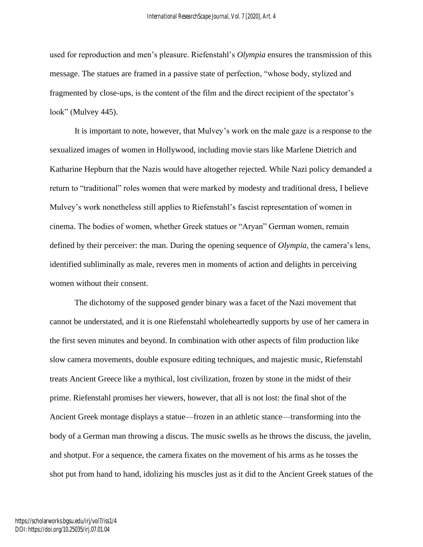used for reproduction and men's pleasure. Riefenstahl's *Olympia* ensures the transmission of this message. The statues are framed in a passive state of perfection, "whose body, stylized and fragmented by close-ups, is the content of the film and the direct recipient of the spectator's look" (Mulvey 445).

It is important to note, however, that Mulvey's work on the male gaze is a response to the sexualized images of women in Hollywood, including movie stars like Marlene Dietrich and Katharine Hepburn that the Nazis would have altogether rejected. While Nazi policy demanded a return to "traditional" roles women that were marked by modesty and traditional dress, I believe Mulvey's work nonetheless still applies to Riefenstahl's fascist representation of women in cinema. The bodies of women, whether Greek statues or "Aryan" German women, remain defined by their perceiver: the man. During the opening sequence of *Olympia,* the camera's lens, identified subliminally as male, reveres men in moments of action and delights in perceiving women without their consent.

The dichotomy of the supposed gender binary was a facet of the Nazi movement that cannot be understated, and it is one Riefenstahl wholeheartedly supports by use of her camera in the first seven minutes and beyond. In combination with other aspects of film production like slow camera movements, double exposure editing techniques, and majestic music, Riefenstahl treats Ancient Greece like a mythical, lost civilization, frozen by stone in the midst of their prime. Riefenstahl promises her viewers, however, that all is not lost: the final shot of the Ancient Greek montage displays a statue—frozen in an athletic stance—transforming into the body of a German man throwing a discus. The music swells as he throws the discuss, the javelin, and shotput. For a sequence, the camera fixates on the movement of his arms as he tosses the shot put from hand to hand, idolizing his muscles just as it did to the Ancient Greek statues of the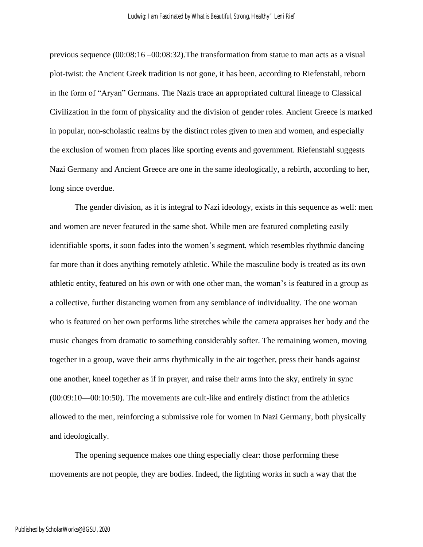previous sequence (00:08:16 –00:08:32).The transformation from statue to man acts as a visual plot-twist: the Ancient Greek tradition is not gone, it has been, according to Riefenstahl, reborn in the form of "Aryan" Germans. The Nazis trace an appropriated cultural lineage to Classical Civilization in the form of physicality and the division of gender roles. Ancient Greece is marked in popular, non-scholastic realms by the distinct roles given to men and women, and especially the exclusion of women from places like sporting events and government. Riefenstahl suggests Nazi Germany and Ancient Greece are one in the same ideologically, a rebirth, according to her, long since overdue.

The gender division, as it is integral to Nazi ideology, exists in this sequence as well: men and women are never featured in the same shot. While men are featured completing easily identifiable sports, it soon fades into the women's segment, which resembles rhythmic dancing far more than it does anything remotely athletic. While the masculine body is treated as its own athletic entity, featured on his own or with one other man, the woman's is featured in a group as a collective, further distancing women from any semblance of individuality. The one woman who is featured on her own performs lithe stretches while the camera appraises her body and the music changes from dramatic to something considerably softer. The remaining women, moving together in a group, wave their arms rhythmically in the air together, press their hands against one another, kneel together as if in prayer, and raise their arms into the sky, entirely in sync (00:09:10—00:10:50). The movements are cult-like and entirely distinct from the athletics allowed to the men, reinforcing a submissive role for women in Nazi Germany, both physically and ideologically.

The opening sequence makes one thing especially clear: those performing these movements are not people, they are bodies. Indeed, the lighting works in such a way that the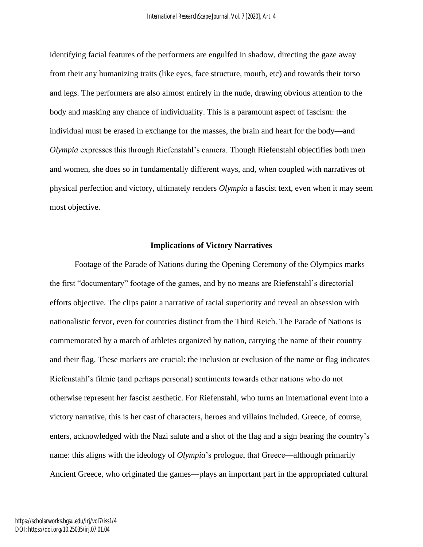identifying facial features of the performers are engulfed in shadow, directing the gaze away from their any humanizing traits (like eyes, face structure, mouth, etc) and towards their torso and legs. The performers are also almost entirely in the nude, drawing obvious attention to the body and masking any chance of individuality. This is a paramount aspect of fascism: the individual must be erased in exchange for the masses, the brain and heart for the body—and *Olympia* expresses this through Riefenstahl's camera. Though Riefenstahl objectifies both men and women, she does so in fundamentally different ways, and, when coupled with narratives of physical perfection and victory, ultimately renders *Olympia* a fascist text, even when it may seem most objective.

## **Implications of Victory Narratives**

Footage of the Parade of Nations during the Opening Ceremony of the Olympics marks the first "documentary" footage of the games, and by no means are Riefenstahl's directorial efforts objective. The clips paint a narrative of racial superiority and reveal an obsession with nationalistic fervor, even for countries distinct from the Third Reich. The Parade of Nations is commemorated by a march of athletes organized by nation, carrying the name of their country and their flag. These markers are crucial: the inclusion or exclusion of the name or flag indicates Riefenstahl's filmic (and perhaps personal) sentiments towards other nations who do not otherwise represent her fascist aesthetic. For Riefenstahl, who turns an international event into a victory narrative, this is her cast of characters, heroes and villains included. Greece, of course, enters, acknowledged with the Nazi salute and a shot of the flag and a sign bearing the country's name: this aligns with the ideology of *Olympia*'s prologue, that Greece—although primarily Ancient Greece, who originated the games—plays an important part in the appropriated cultural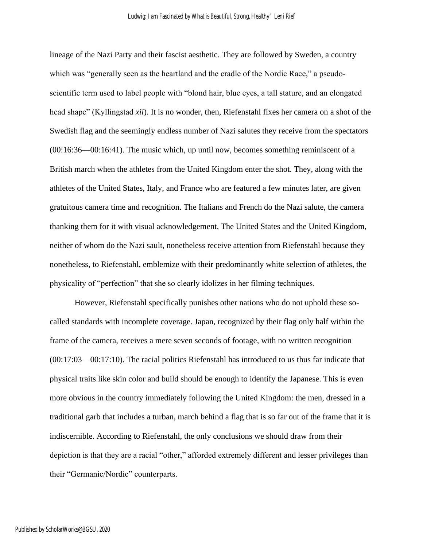lineage of the Nazi Party and their fascist aesthetic. They are followed by Sweden, a country which was "generally seen as the heartland and the cradle of the Nordic Race," a pseudoscientific term used to label people with "blond hair, blue eyes, a tall stature, and an elongated head shape" (Kyllingstad *xii*). It is no wonder, then, Riefenstahl fixes her camera on a shot of the Swedish flag and the seemingly endless number of Nazi salutes they receive from the spectators (00:16:36—00:16:41). The music which, up until now, becomes something reminiscent of a British march when the athletes from the United Kingdom enter the shot. They, along with the athletes of the United States, Italy, and France who are featured a few minutes later, are given gratuitous camera time and recognition. The Italians and French do the Nazi salute, the camera thanking them for it with visual acknowledgement. The United States and the United Kingdom, neither of whom do the Nazi sault, nonetheless receive attention from Riefenstahl because they nonetheless, to Riefenstahl, emblemize with their predominantly white selection of athletes, the physicality of "perfection" that she so clearly idolizes in her filming techniques.

However, Riefenstahl specifically punishes other nations who do not uphold these socalled standards with incomplete coverage. Japan, recognized by their flag only half within the frame of the camera, receives a mere seven seconds of footage, with no written recognition (00:17:03—00:17:10). The racial politics Riefenstahl has introduced to us thus far indicate that physical traits like skin color and build should be enough to identify the Japanese. This is even more obvious in the country immediately following the United Kingdom: the men, dressed in a traditional garb that includes a turban, march behind a flag that is so far out of the frame that it is indiscernible. According to Riefenstahl, the only conclusions we should draw from their depiction is that they are a racial "other," afforded extremely different and lesser privileges than their "Germanic/Nordic" counterparts.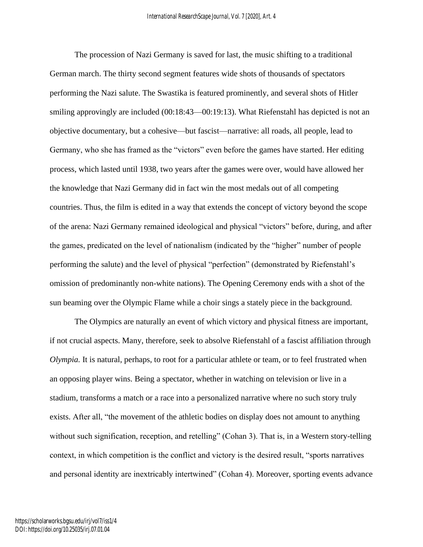The procession of Nazi Germany is saved for last, the music shifting to a traditional German march. The thirty second segment features wide shots of thousands of spectators performing the Nazi salute. The Swastika is featured prominently, and several shots of Hitler smiling approvingly are included (00:18:43—00:19:13). What Riefenstahl has depicted is not an objective documentary, but a cohesive—but fascist—narrative: all roads, all people, lead to Germany, who she has framed as the "victors" even before the games have started. Her editing process, which lasted until 1938, two years after the games were over, would have allowed her the knowledge that Nazi Germany did in fact win the most medals out of all competing countries. Thus, the film is edited in a way that extends the concept of victory beyond the scope of the arena: Nazi Germany remained ideological and physical "victors" before, during, and after the games, predicated on the level of nationalism (indicated by the "higher" number of people performing the salute) and the level of physical "perfection" (demonstrated by Riefenstahl's omission of predominantly non-white nations). The Opening Ceremony ends with a shot of the sun beaming over the Olympic Flame while a choir sings a stately piece in the background.

The Olympics are naturally an event of which victory and physical fitness are important, if not crucial aspects. Many, therefore, seek to absolve Riefenstahl of a fascist affiliation through *Olympia.* It is natural, perhaps, to root for a particular athlete or team, or to feel frustrated when an opposing player wins. Being a spectator, whether in watching on television or live in a stadium, transforms a match or a race into a personalized narrative where no such story truly exists. After all, "the movement of the athletic bodies on display does not amount to anything without such signification, reception, and retelling" (Cohan 3). That is, in a Western story-telling context, in which competition is the conflict and victory is the desired result, "sports narratives and personal identity are inextricably intertwined" (Cohan 4). Moreover, sporting events advance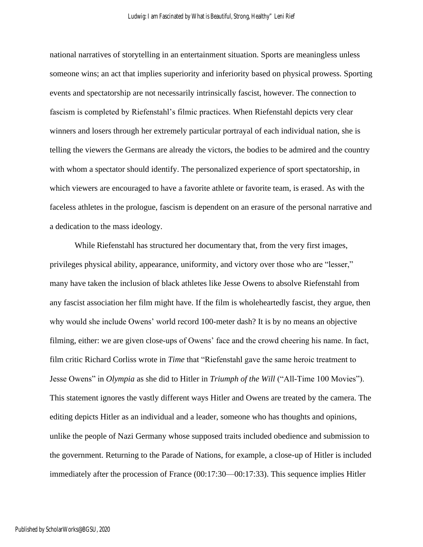national narratives of storytelling in an entertainment situation. Sports are meaningless unless someone wins; an act that implies superiority and inferiority based on physical prowess. Sporting events and spectatorship are not necessarily intrinsically fascist, however. The connection to fascism is completed by Riefenstahl's filmic practices. When Riefenstahl depicts very clear winners and losers through her extremely particular portrayal of each individual nation, she is telling the viewers the Germans are already the victors, the bodies to be admired and the country with whom a spectator should identify. The personalized experience of sport spectatorship, in which viewers are encouraged to have a favorite athlete or favorite team, is erased. As with the faceless athletes in the prologue, fascism is dependent on an erasure of the personal narrative and a dedication to the mass ideology.

While Riefenstahl has structured her documentary that, from the very first images, privileges physical ability, appearance, uniformity, and victory over those who are "lesser," many have taken the inclusion of black athletes like Jesse Owens to absolve Riefenstahl from any fascist association her film might have. If the film is wholeheartedly fascist, they argue, then why would she include Owens' world record 100-meter dash? It is by no means an objective filming, either: we are given close-ups of Owens' face and the crowd cheering his name. In fact, film critic Richard Corliss wrote in *Time* that "Riefenstahl gave the same heroic treatment to Jesse Owens" in *Olympia* as she did to Hitler in *Triumph of the Will* ("All-Time 100 Movies"). This statement ignores the vastly different ways Hitler and Owens are treated by the camera. The editing depicts Hitler as an individual and a leader, someone who has thoughts and opinions, unlike the people of Nazi Germany whose supposed traits included obedience and submission to the government. Returning to the Parade of Nations, for example, a close-up of Hitler is included immediately after the procession of France (00:17:30—00:17:33). This sequence implies Hitler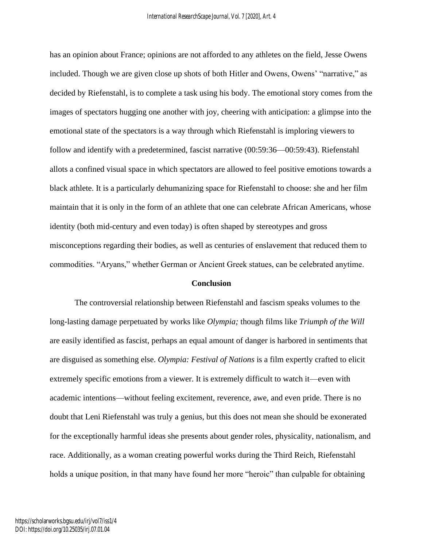has an opinion about France; opinions are not afforded to any athletes on the field, Jesse Owens included. Though we are given close up shots of both Hitler and Owens, Owens' "narrative," as decided by Riefenstahl, is to complete a task using his body. The emotional story comes from the images of spectators hugging one another with joy, cheering with anticipation: a glimpse into the emotional state of the spectators is a way through which Riefenstahl is imploring viewers to follow and identify with a predetermined, fascist narrative (00:59:36—00:59:43). Riefenstahl allots a confined visual space in which spectators are allowed to feel positive emotions towards a black athlete. It is a particularly dehumanizing space for Riefenstahl to choose: she and her film maintain that it is only in the form of an athlete that one can celebrate African Americans, whose identity (both mid-century and even today) is often shaped by stereotypes and gross misconceptions regarding their bodies, as well as centuries of enslavement that reduced them to commodities. "Aryans," whether German or Ancient Greek statues, can be celebrated anytime.

#### **Conclusion**

The controversial relationship between Riefenstahl and fascism speaks volumes to the long-lasting damage perpetuated by works like *Olympia;* though films like *Triumph of the Will*  are easily identified as fascist, perhaps an equal amount of danger is harbored in sentiments that are disguised as something else. *Olympia: Festival of Nations* is a film expertly crafted to elicit extremely specific emotions from a viewer. It is extremely difficult to watch it—even with academic intentions—without feeling excitement, reverence, awe, and even pride. There is no doubt that Leni Riefenstahl was truly a genius, but this does not mean she should be exonerated for the exceptionally harmful ideas she presents about gender roles, physicality, nationalism, and race. Additionally, as a woman creating powerful works during the Third Reich, Riefenstahl holds a unique position, in that many have found her more "heroic" than culpable for obtaining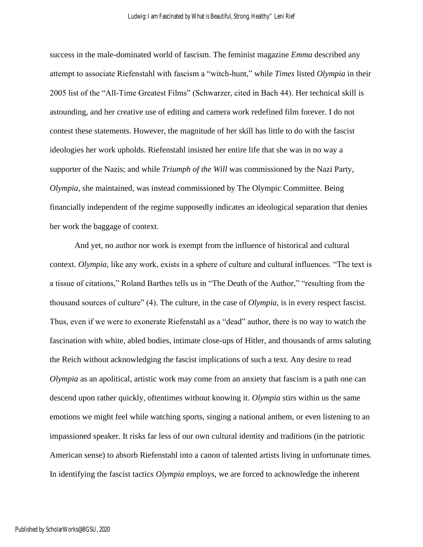success in the male-dominated world of fascism. The feminist magazine *Emma* described any attempt to associate Riefenstahl with fascism a "witch-hunt," while *Times* listed *Olympia* in their 2005 list of the "All-Time Greatest Films" (Schwarzer, cited in Bach 44). Her technical skill is astounding, and her creative use of editing and camera work redefined film forever. I do not contest these statements. However, the magnitude of her skill has little to do with the fascist ideologies her work upholds. Riefenstahl insisted her entire life that she was in no way a supporter of the Nazis; and while *Triumph of the Will* was commissioned by the Nazi Party, *Olympia,* she maintained, was instead commissioned by The Olympic Committee. Being financially independent of the regime supposedly indicates an ideological separation that denies her work the baggage of context.

And yet, no author nor work is exempt from the influence of historical and cultural context. *Olympia,* like any work, exists in a sphere of culture and cultural influences. "The text is a tissue of citations," Roland Barthes tells us in "The Death of the Author," "resulting from the thousand sources of culture" (4). The culture, in the case of *Olympia,* is in every respect fascist. Thus, even if we were to exonerate Riefenstahl as a "dead" author, there is no way to watch the fascination with white, abled bodies, intimate close-ups of Hitler, and thousands of arms saluting the Reich without acknowledging the fascist implications of such a text. Any desire to read *Olympia* as an apolitical, artistic work may come from an anxiety that fascism is a path one can descend upon rather quickly, oftentimes without knowing it. *Olympia* stirs within us the same emotions we might feel while watching sports, singing a national anthem, or even listening to an impassioned speaker. It risks far less of our own cultural identity and traditions (in the patriotic American sense) to absorb Riefenstahl into a canon of talented artists living in unfortunate times. In identifying the fascist tactics *Olympia* employs, we are forced to acknowledge the inherent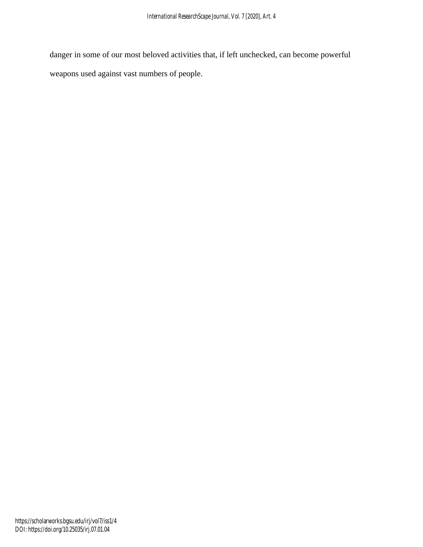danger in some of our most beloved activities that, if left unchecked, can become powerful weapons used against vast numbers of people.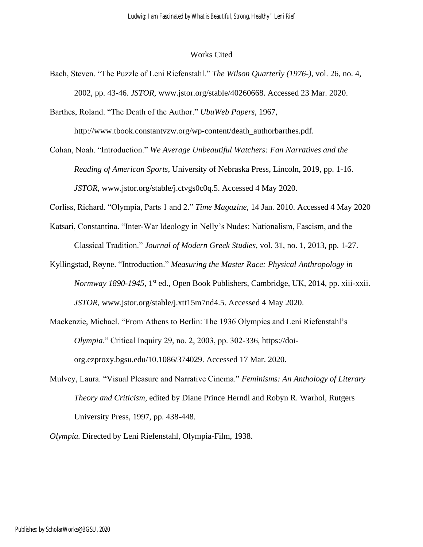### Works Cited

Bach, Steven. "The Puzzle of Leni Riefenstahl." *The Wilson Quarterly (1976-),* vol. 26, no. 4, 2002, pp. 43-46. *JSTOR,* [www.jstor.org/stable/40260668. Accessed 23 Mar. 2020.](http://www.jstor.org/stable/40260668.%20Accessed%2023%20Mar.%202020)

Barthes, Roland. "The Death of the Author." *UbuWeb Papers,* 1967,

[http://www.tbook.constantvzw.org/wp-content/death\\_authorbarthes.pdf.](http://www.tbook.constantvzw.org/wp-content/death_authorbarthes.pdf)

Cohan, Noah. "Introduction." *We Average Unbeautiful Watchers: Fan Narratives and the Reading of American Sports,* University of Nebraska Press, Lincoln, 2019, pp. 1-16. *JSTOR,* [www.jstor.org/stable/j.ctvgs0c0q.5.](http://www.jstor.org/stable/j.ctvgs0c0q.5) Accessed 4 May 2020.

Corliss, Richard. "Olympia, Parts 1 and 2." *Time Magazine,* 14 Jan. 2010. Accessed 4 May 2020

- Katsari, Constantina. "Inter-War Ideology in Nelly's Nudes: Nationalism, Fascism, and the Classical Tradition." *Journal of Modern Greek Studies,* vol. 31, no. 1, 2013, pp. 1-27.
- Kyllingstad, Røyne. "Introduction." *Measuring the Master Race: Physical Anthropology in*  Normway 1890-1945, 1<sup>st</sup> ed., Open Book Publishers, Cambridge, UK, 2014, pp. xiii-xxii. *JSTOR,* [www.jstor.org/stable/j.xtt15m7nd4.5.](http://www.jstor.org/stable/j.xtt15m7nd4.5) Accessed 4 May 2020.
- Mackenzie, Michael. "From Athens to Berlin: The 1936 Olympics and Leni Riefenstahl's *Olympia*." Critical Inquiry 29, no. 2, 2003, pp. 302-336, [https://doi](https://doi-org.ezproxy.bgsu.edu/10.1086/374029)[org.ezproxy.bgsu.edu/10.1086/374029.](https://doi-org.ezproxy.bgsu.edu/10.1086/374029) Accessed 17 Mar. 2020.
- Mulvey, Laura. "Visual Pleasure and Narrative Cinema." *Feminisms: An Anthology of Literary Theory and Criticism,* edited by Diane Prince Herndl and Robyn R. Warhol, Rutgers University Press, 1997, pp. 438-448.

*Olympia.* Directed by Leni Riefenstahl, Olympia-Film, 1938.